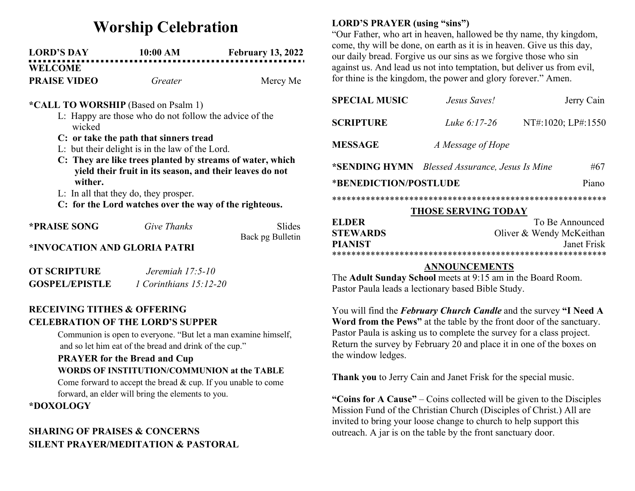# Worship Celebration

| <b>LORD'S DAY</b>   | 10:00 AM | <b>February 13, 2022</b> |
|---------------------|----------|--------------------------|
| <b>WELCOME</b>      |          |                          |
| <b>PRAISE VIDEO</b> | Greater  | Mercy Me                 |

### \*CALL TO WORSHIP (Based on Psalm 1)

- L: Happy are those who do not follow the advice of the wicked
- C: or take the path that sinners tread
- L: but their delight is in the law of the Lord.
- C: They are like trees planted by streams of water, which yield their fruit in its season, and their leaves do not wither.
- L: In all that they do, they prosper.
- C: for the Lord watches over the way of the righteous.

| <b>*PRAISE SONG</b>          | Give Thanks | Slides           |  |
|------------------------------|-------------|------------------|--|
|                              |             | Back pg Bulletin |  |
| *INVOCATION AND GLORIA PATRI |             |                  |  |
|                              |             |                  |  |

| <b>OT SCRIPTURE</b>   | Jeremiah $17:5-10$       |
|-----------------------|--------------------------|
| <b>GOSPEL/EPISTLE</b> | 1 Corinthians $15:12-20$ |

## RECEIVING TITHES & OFFERING CELEBRATION OF THE LORD'S SUPPER

Communion is open to everyone. "But let a man examine himself, and so let him eat of the bread and drink of the cup."

### PRAYER for the Bread and Cup

### WORDS OF INSTITUTION/COMMUNION at the TABLE

Come forward to accept the bread & cup. If you unable to come forward, an elder will bring the elements to you.

#### \*DOXOLOGY

# SHARING OF PRAISES & CONCERNS SILENT PRAYER/MEDITATION & PASTORAL

## LORD'S PRAYER (using "sins")

"Our Father, who art in heaven, hallowed be thy name, thy kingdom, come, thy will be done, on earth as it is in heaven. Give us this day, our daily bread. Forgive us our sins as we forgive those who sin against us. And lead us not into temptation, but deliver us from evil, for thine is the kingdom, the power and glory forever." Amen.

| <b>SPECIAL MUSIC</b>           | Jesus Saves!                            |                    | Jerry Cain |
|--------------------------------|-----------------------------------------|--------------------|------------|
| <b>SCRIPTURE</b>               | Luke 6:17-26                            | NT#:1020; LP#:1550 |            |
| <b>MESSAGE</b>                 | A Message of Hope                       |                    |            |
| *SENDING HYMN                  | <b>Blessed Assurance, Jesus Is Mine</b> |                    | #67        |
| *BENEDICTION/POSTLUDE<br>Piano |                                         |                    |            |
|                                |                                         |                    |            |

## THOSE SERVING TODAY

| ELDER           | To Be Announced          |  |
|-----------------|--------------------------|--|
| <b>STEWARDS</b> | Oliver & Wendy McKeithan |  |
| <b>PIANIST</b>  | Janet Frisk              |  |
|                 |                          |  |

## ANNOUNCEMENTS

The Adult Sunday School meets at 9:15 am in the Board Room. Pastor Paula leads a lectionary based Bible Study.

You will find the *February Church Candle* and the survey "I Need A Word from the Pews" at the table by the front door of the sanctuary. Pastor Paula is asking us to complete the survey for a class project. Return the survey by February 20 and place it in one of the boxes on the window ledges.

Thank you to Jerry Cain and Janet Frisk for the special music.

"Coins for A Cause" – Coins collected will be given to the Disciples Mission Fund of the Christian Church (Disciples of Christ.) All are invited to bring your loose change to church to help support this outreach. A jar is on the table by the front sanctuary door.